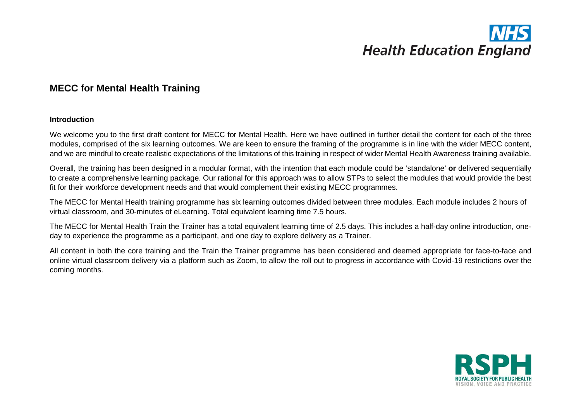## **MECC for Mental Health Training**

#### **Introduction**

We welcome you to the first draft content for MECC for Mental Health. Here we have outlined in further detail the content for each of the three modules, comprised of the six learning outcomes. We are keen to ensure the framing of the programme is in line with the wider MECC content, and we are mindful to create realistic expectations of the limitations of this training in respect of wider Mental Health Awareness training available.

Overall, the training has been designed in a modular format, with the intention that each module could be 'standalone' **or** delivered sequentially to create a comprehensive learning package. Our rational for this approach was to allow STPs to select the modules that would provide the best fit for their workforce development needs and that would complement their existing MECC programmes.

The MECC for Mental Health training programme has six learning outcomes divided between three modules. Each module includes 2 hours of virtual classroom, and 30-minutes of eLearning. Total equivalent learning time 7.5 hours.

The MECC for Mental Health Train the Trainer has a total equivalent learning time of 2.5 days. This includes a half-day online introduction, oneday to experience the programme as a participant, and one day to explore delivery as a Trainer.

All content in both the core training and the Train the Trainer programme has been considered and deemed appropriate for face-to-face and online virtual classroom delivery via a platform such as Zoom, to allow the roll out to progress in accordance with Covid-19 restrictions over the coming months.

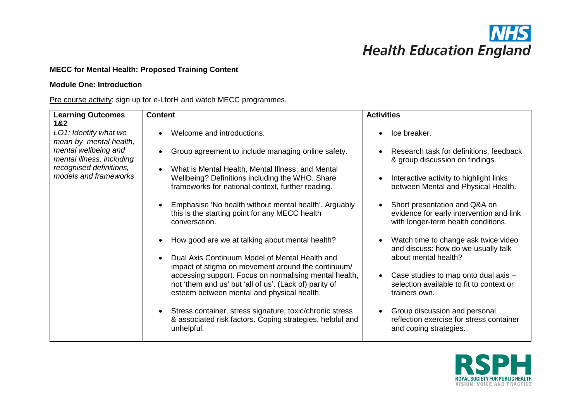

### **MECC for Mental Health: Proposed Training Content**

#### **Module One: Introduction**

Pre course activity: sign up for e-LforH and watch MECC programmes.

| <b>Learning Outcomes</b><br>1&2                   | <b>Content</b>                                                                                                                                                 | <b>Activities</b>                                                                                                |
|---------------------------------------------------|----------------------------------------------------------------------------------------------------------------------------------------------------------------|------------------------------------------------------------------------------------------------------------------|
| LO1: Identify what we<br>mean by mental health,   | Welcome and introductions.                                                                                                                                     | Ice breaker.<br>$\bullet$                                                                                        |
| mental wellbeing and<br>mental illness, including | Group agreement to include managing online safety.                                                                                                             | Research task for definitions, feedback<br>& group discussion on findings.                                       |
| recognised definitions,<br>models and frameworks  | What is Mental Health, Mental Illness, and Mental<br>Wellbeing? Definitions including the WHO. Share<br>frameworks for national context, further reading.      | Interactive activity to highlight links<br>between Mental and Physical Health.                                   |
|                                                   | Emphasise 'No health without mental health'. Arguably<br>this is the starting point for any MECC health<br>conversation.                                       | Short presentation and Q&A on<br>evidence for early intervention and link<br>with longer-term health conditions. |
|                                                   | How good are we at talking about mental health?<br>Dual Axis Continuum Model of Mental Health and                                                              | Watch time to change ask twice video<br>and discuss: how do we usually talk<br>about mental health?              |
|                                                   | impact of stigma on movement around the continuum/                                                                                                             |                                                                                                                  |
|                                                   | accessing support. Focus on normalising mental health,<br>not 'them and us' but 'all of us'. (Lack of) parity of<br>esteem between mental and physical health. | Case studies to map onto dual axis -<br>selection available to fit to context or<br>trainers own.                |
|                                                   | Stress container, stress signature, toxic/chronic stress<br>& associated risk factors. Coping strategies, helpful and<br>unhelpful.                            | Group discussion and personal<br>reflection exercise for stress container<br>and coping strategies.              |

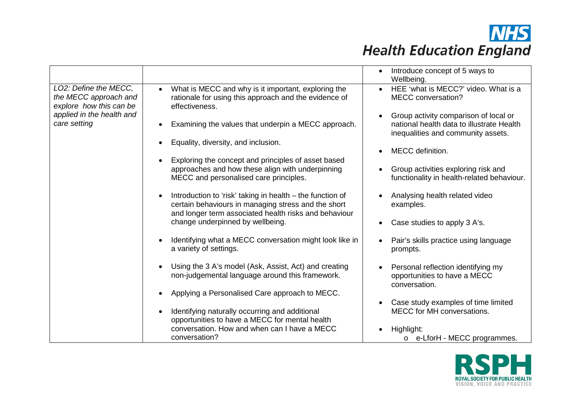|                                                                           |                                                                                                                                                                           | Introduce concept of 5 ways to<br>Wellbeing.                                                                             |
|---------------------------------------------------------------------------|---------------------------------------------------------------------------------------------------------------------------------------------------------------------------|--------------------------------------------------------------------------------------------------------------------------|
| LO2: Define the MECC,<br>the MECC approach and<br>explore how this can be | What is MECC and why is it important, exploring the<br>rationale for using this approach and the evidence of<br>effectiveness.                                            | HEE 'what is MECC?' video. What is a<br>MECC conversation?                                                               |
| applied in the health and<br>care setting                                 | Examining the values that underpin a MECC approach.                                                                                                                       | Group activity comparison of local or<br>national health data to illustrate Health<br>inequalities and community assets. |
|                                                                           | Equality, diversity, and inclusion.                                                                                                                                       | MECC definition.                                                                                                         |
|                                                                           | Exploring the concept and principles of asset based                                                                                                                       |                                                                                                                          |
|                                                                           | approaches and how these align with underpinning<br>MECC and personalised care principles.                                                                                | Group activities exploring risk and<br>functionality in health-related behaviour.                                        |
|                                                                           | Introduction to 'risk' taking in health – the function of<br>certain behaviours in managing stress and the short<br>and longer term associated health risks and behaviour | Analysing health related video<br>examples.                                                                              |
|                                                                           | change underpinned by wellbeing.                                                                                                                                          | Case studies to apply 3 A's.<br>$\bullet$                                                                                |
|                                                                           | Identifying what a MECC conversation might look like in<br>a variety of settings.                                                                                         | Pair's skills practice using language<br>prompts.                                                                        |
|                                                                           | Using the 3 A's model (Ask, Assist, Act) and creating<br>non-judgemental language around this framework.                                                                  | Personal reflection identifying my<br>opportunities to have a MECC<br>conversation.                                      |
|                                                                           | Applying a Personalised Care approach to MECC.                                                                                                                            |                                                                                                                          |
|                                                                           | Identifying naturally occurring and additional<br>opportunities to have a MECC for mental health                                                                          | Case study examples of time limited<br>MECC for MH conversations.                                                        |
|                                                                           | conversation. How and when can I have a MECC<br>conversation?                                                                                                             | Highlight:<br>o e-LforH - MECC programmes.                                                                               |

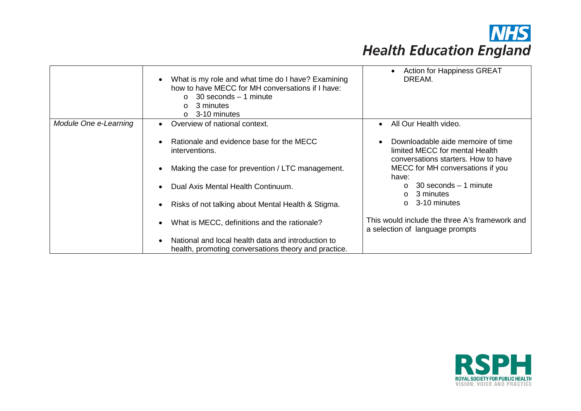|                       | What is my role and what time do I have? Examining<br>how to have MECC for MH conversations if I have:<br>30 seconds – 1 minute<br>$\Omega$<br>3 minutes<br>$\circ$<br>3-10 minutes<br>$\Omega$ | <b>Action for Happiness GREAT</b><br>DREAM.                                                                             |
|-----------------------|-------------------------------------------------------------------------------------------------------------------------------------------------------------------------------------------------|-------------------------------------------------------------------------------------------------------------------------|
| Module One e-Learning | Overview of national context.<br>$\bullet$                                                                                                                                                      | All Our Health video.<br>$\bullet$                                                                                      |
|                       | Rationale and evidence base for the MECC<br>$\bullet$<br>interventions.                                                                                                                         | Downloadable aide memoire of time<br>$\bullet$<br>limited MECC for mental Health<br>conversations starters. How to have |
|                       | Making the case for prevention / LTC management.                                                                                                                                                | MECC for MH conversations if you<br>have:                                                                               |
|                       | Dual Axis Mental Health Continuum.                                                                                                                                                              | $30$ seconds $-1$ minute<br>$\Omega$<br>3 minutes<br>$\circ$                                                            |
|                       | Risks of not talking about Mental Health & Stigma.                                                                                                                                              | 3-10 minutes<br>$\Omega$                                                                                                |
|                       | What is MECC, definitions and the rationale?<br>$\bullet$                                                                                                                                       | This would include the three A's framework and<br>a selection of language prompts                                       |
|                       | National and local health data and introduction to<br>health, promoting conversations theory and practice.                                                                                      |                                                                                                                         |

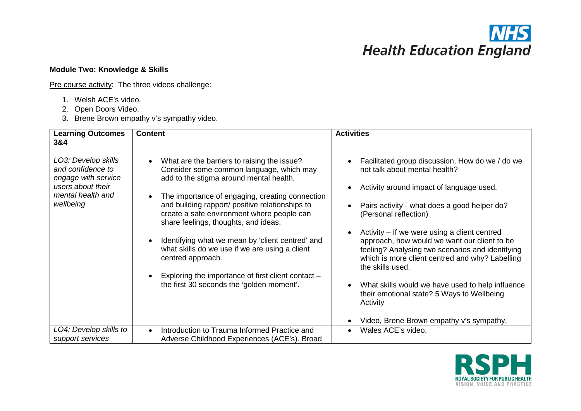## **Module Two: Knowledge & Skills**

Pre course activity: The three videos challenge:

- 1. Welsh ACE's video.
- 2. Open Doors Video.
- 3. Brene Brown empathy v's sympathy video.

| <b>Learning Outcomes</b><br>3&4                               | <b>Content</b>                                                                                                                        | <b>Activities</b>                                                                                                                                                                                                       |
|---------------------------------------------------------------|---------------------------------------------------------------------------------------------------------------------------------------|-------------------------------------------------------------------------------------------------------------------------------------------------------------------------------------------------------------------------|
| LO3: Develop skills<br>and confidence to                      | What are the barriers to raising the issue?<br>$\bullet$<br>Consider some common language, which may                                  | Facilitated group discussion, How do we / do we<br>$\bullet$<br>not talk about mental health?                                                                                                                           |
| engage with service<br>users about their<br>mental health and | add to the stigma around mental health.<br>The importance of engaging, creating connection<br>$\bullet$                               | Activity around impact of language used.<br>$\bullet$                                                                                                                                                                   |
| wellbeing                                                     | and building rapport/ positive relationships to<br>create a safe environment where people can<br>share feelings, thoughts, and ideas. | Pairs activity - what does a good helper do?<br>(Personal reflection)                                                                                                                                                   |
|                                                               | Identifying what we mean by 'client centred' and<br>$\bullet$<br>what skills do we use if we are using a client<br>centred approach.  | Activity – If we were using a client centred<br>approach, how would we want our client to be<br>feeling? Analysing two scenarios and identifying<br>which is more client centred and why? Labelling<br>the skills used. |
|                                                               | Exploring the importance of first client contact –<br>the first 30 seconds the 'golden moment'.                                       | What skills would we have used to help influence<br>$\bullet$<br>their emotional state? 5 Ways to Wellbeing<br>Activity                                                                                                 |
|                                                               |                                                                                                                                       | Video, Brene Brown empathy v's sympathy.<br>$\bullet$                                                                                                                                                                   |
| LO4: Develop skills to<br>support services                    | Introduction to Trauma Informed Practice and<br>$\bullet$<br>Adverse Childhood Experiences (ACE's). Broad                             | Wales ACE's video.                                                                                                                                                                                                      |

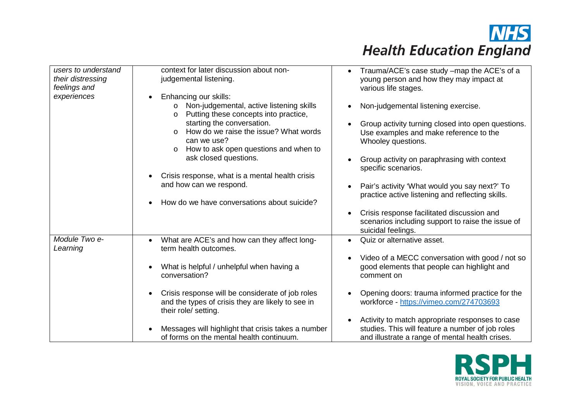

| users to understand<br>their distressing<br>feelings and<br>experiences | context for later discussion about non-<br>judgemental listening.<br>Enhancing our skills:<br>$\bullet$<br>o Non-judgemental, active listening skills<br>Putting these concepts into practice,<br>$\circ$<br>starting the conversation.<br>How do we raise the issue? What words<br>$\circ$                                                                                                                   | Trauma/ACE's case study -map the ACE's of a<br>$\bullet$<br>young person and how they may impact at<br>various life stages.<br>Non-judgemental listening exercise.<br>$\bullet$<br>Group activity turning closed into open questions.<br>Use examples and make reference to the                                                                                                                                 |
|-------------------------------------------------------------------------|---------------------------------------------------------------------------------------------------------------------------------------------------------------------------------------------------------------------------------------------------------------------------------------------------------------------------------------------------------------------------------------------------------------|-----------------------------------------------------------------------------------------------------------------------------------------------------------------------------------------------------------------------------------------------------------------------------------------------------------------------------------------------------------------------------------------------------------------|
|                                                                         | can we use?<br>How to ask open questions and when to<br>$\circ$<br>ask closed questions.<br>Crisis response, what is a mental health crisis<br>$\bullet$<br>and how can we respond.<br>How do we have conversations about suicide?                                                                                                                                                                            | Whooley questions.<br>Group activity on paraphrasing with context<br>specific scenarios.<br>Pair's activity 'What would you say next?' To<br>practice active listening and reflecting skills.<br>Crisis response facilitated discussion and<br>$\bullet$                                                                                                                                                        |
|                                                                         |                                                                                                                                                                                                                                                                                                                                                                                                               | scenarios including support to raise the issue of<br>suicidal feelings.                                                                                                                                                                                                                                                                                                                                         |
| Module Two e-<br>Learning                                               | What are ACE's and how can they affect long-<br>$\bullet$<br>term health outcomes.<br>What is helpful / unhelpful when having a<br>$\bullet$<br>conversation?<br>Crisis response will be considerate of job roles<br>$\bullet$<br>and the types of crisis they are likely to see in<br>their role/ setting.<br>Messages will highlight that crisis takes a number<br>of forms on the mental health continuum. | Quiz or alternative asset.<br>$\bullet$<br>Video of a MECC conversation with good / not so<br>good elements that people can highlight and<br>comment on<br>Opening doors: trauma informed practice for the<br>workforce - https://vimeo.com/274703693<br>Activity to match appropriate responses to case<br>studies. This will feature a number of job roles<br>and illustrate a range of mental health crises. |

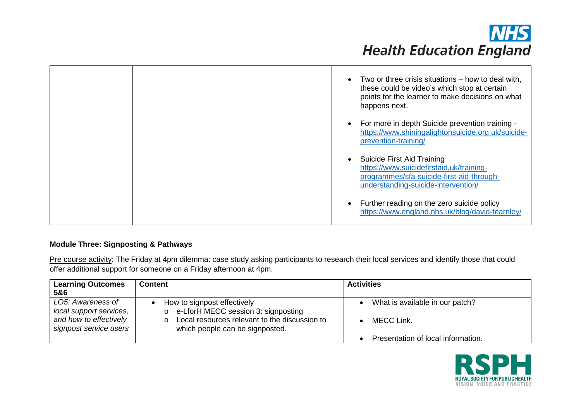

|  | Two or three crisis situations – how to deal with,<br>$\bullet$<br>these could be video's which stop at certain<br>points for the learner to make decisions on what<br>happens next. |
|--|--------------------------------------------------------------------------------------------------------------------------------------------------------------------------------------|
|  | For more in depth Suicide prevention training -<br>$\bullet$<br>https://www.shiningalightonsuicide.org.uk/suicide-<br>prevention-training/                                           |
|  | Suicide First Aid Training<br>https://www.suicidefirstaid.uk/training-<br>programmes/sfa-suicide-first-aid-through-<br>understanding-suicide-intervention/                           |
|  | Further reading on the zero suicide policy<br>$\bullet$<br>https://www.england.nhs.uk/blog/david-fearnley/                                                                           |

### **Module Three: Signposting & Pathways**

Pre course activity: The Friday at 4pm dilemma: case study asking participants to research their local services and identify those that could offer additional support for someone on a Friday afternoon at 4pm.

| <b>Learning Outcomes</b>                                               | <b>Content</b>                                                                                                        | <b>Activities</b>                             |
|------------------------------------------------------------------------|-----------------------------------------------------------------------------------------------------------------------|-----------------------------------------------|
| 5&6                                                                    |                                                                                                                       |                                               |
| LO5: Awareness of<br>local support services,<br>and how to effectively | How to signpost effectively<br>o e-LforH MECC session 3: signposting<br>Local resources relevant to the discussion to | What is available in our patch?<br>MECC Link. |
| signpost service users                                                 | which people can be signposted.                                                                                       | Presentation of local information.            |

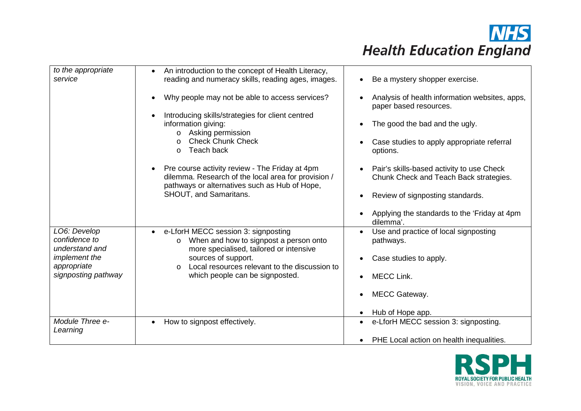| to the appropriate<br>service                   | An introduction to the concept of Health Literacy,<br>$\bullet$<br>reading and numeracy skills, reading ages, images.       | Be a mystery shopper exercise.                                                                   |
|-------------------------------------------------|-----------------------------------------------------------------------------------------------------------------------------|--------------------------------------------------------------------------------------------------|
|                                                 | Why people may not be able to access services?                                                                              | Analysis of health information websites, apps,<br>paper based resources.                         |
|                                                 | Introducing skills/strategies for client centred<br>information giving:<br>Asking permission<br>$\circ$                     | The good the bad and the ugly.                                                                   |
|                                                 | <b>Check Chunk Check</b><br>$\circ$<br>Teach back<br>$\Omega$                                                               | Case studies to apply appropriate referral<br>options.                                           |
|                                                 | Pre course activity review - The Friday at 4pm<br>dilemma. Research of the local area for provision /                       | Pair's skills-based activity to use Check<br>$\bullet$<br>Chunk Check and Teach Back strategies. |
|                                                 | pathways or alternatives such as Hub of Hope,<br>SHOUT, and Samaritans.                                                     | Review of signposting standards.                                                                 |
|                                                 |                                                                                                                             | Applying the standards to the 'Friday at 4pm<br>dilemma'.                                        |
| LO6: Develop<br>confidence to<br>understand and | e-LforH MECC session 3: signposting<br>$\bullet$<br>When and how to signpost a person onto<br>$\circ$                       | Use and practice of local signposting<br>pathways.                                               |
| implement the<br>appropriate                    | more specialised, tailored or intensive<br>sources of support.<br>Local resources relevant to the discussion to<br>$\Omega$ | Case studies to apply.                                                                           |
| signposting pathway                             | which people can be signposted.                                                                                             | <b>MECC Link.</b>                                                                                |
|                                                 |                                                                                                                             | <b>MECC Gateway.</b>                                                                             |
|                                                 |                                                                                                                             | Hub of Hope app.                                                                                 |
| Module Three e-<br>Learning                     | How to signpost effectively.                                                                                                | e-LforH MECC session 3: signposting.<br>$\bullet$                                                |
|                                                 |                                                                                                                             | PHE Local action on health inequalities.<br>$\bullet$                                            |

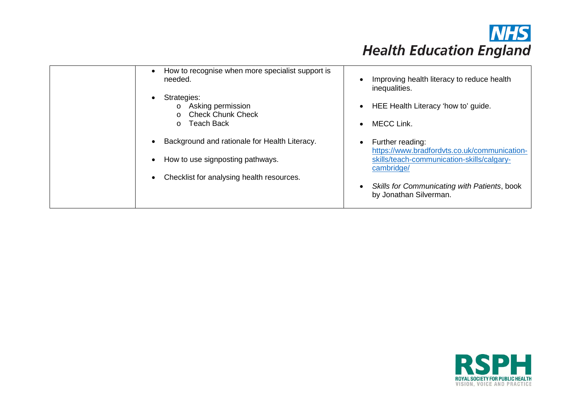

| How to recognise when more specialist support is<br>needed.                             | Improving health literacy to reduce health<br>inequalities.                                                                        |
|-----------------------------------------------------------------------------------------|------------------------------------------------------------------------------------------------------------------------------------|
| Strategies:<br>o Asking permission<br><b>Check Chunk Check</b><br>Teach Back<br>$\circ$ | HEE Health Literacy 'how to' guide.<br><b>MECC Link.</b>                                                                           |
| Background and rationale for Health Literacy.                                           | Further reading:<br>https://www.bradfordvts.co.uk/communication-                                                                   |
| How to use signposting pathways.<br>Checklist for analysing health resources.           | skills/teach-communication-skills/calgary-<br>cambridge/<br>Skills for Communicating with Patients, book<br>by Jonathan Silverman. |

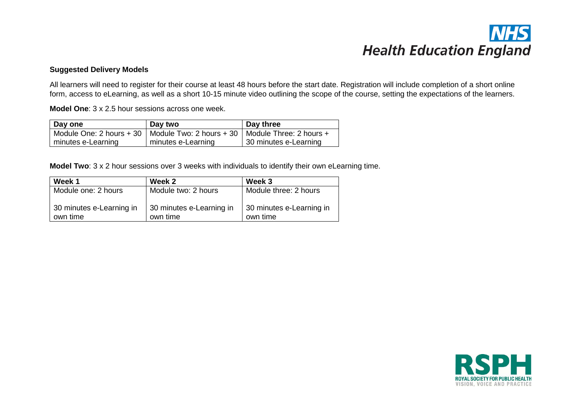#### **Suggested Delivery Models**

All learners will need to register for their course at least 48 hours before the start date. Registration will include completion of a short online form, access to eLearning, as well as a short 10-15 minute video outlining the scope of the course, setting the expectations of the learners.

**Model One**: 3 x 2.5 hour sessions across one week.

| Day one            | Day two                                                                       | Day three             |
|--------------------|-------------------------------------------------------------------------------|-----------------------|
|                    | Module One: 2 hours + 30   Module Two: 2 hours + 30   Module Three: 2 hours + |                       |
| minutes e-Learning | minutes e-Learning                                                            | 30 minutes e-Learning |

**Model Two**: 3 x 2 hour sessions over 3 weeks with individuals to identify their own eLearning time.

| Week 1                               | Week 2                               | Week 3                               |
|--------------------------------------|--------------------------------------|--------------------------------------|
| Module one: 2 hours                  | Module two: 2 hours                  | Module three: 2 hours                |
| 30 minutes e-Learning in<br>own time | 30 minutes e-Learning in<br>own time | 30 minutes e-Learning in<br>own time |

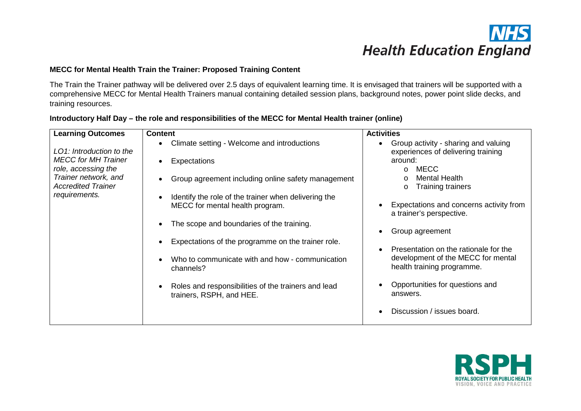### **MECC for Mental Health Train the Trainer: Proposed Training Content**

The Train the Trainer pathway will be delivered over 2.5 days of equivalent learning time. It is envisaged that trainers will be supported with a comprehensive MECC for Mental Health Trainers manual containing detailed session plans, background notes, power point slide decks, and training resources.

| <b>Learning Outcomes</b>                          | <b>Content</b>                                                                          | <b>Activities</b>                                                          |
|---------------------------------------------------|-----------------------------------------------------------------------------------------|----------------------------------------------------------------------------|
| LO1: Introduction to the                          | Climate setting - Welcome and introductions                                             | Group activity - sharing and valuing<br>experiences of delivering training |
| <b>MECC for MH Trainer</b><br>role, accessing the | Expectations                                                                            | around:<br>MECC<br>$\Omega$                                                |
| Trainer network, and<br><b>Accredited Trainer</b> | Group agreement including online safety management                                      | <b>Mental Health</b><br><b>Training trainers</b><br>$\circ$                |
| requirements.                                     | Identify the role of the trainer when delivering the<br>MECC for mental health program. | Expectations and concerns activity from<br>a trainer's perspective.        |
|                                                   | The scope and boundaries of the training.                                               | Group agreement                                                            |
|                                                   | Expectations of the programme on the trainer role.                                      | Presentation on the rationale for the<br>$\bullet$                         |
|                                                   | Who to communicate with and how - communication<br>channels?                            | development of the MECC for mental<br>health training programme.           |
|                                                   | Roles and responsibilities of the trainers and lead<br>trainers, RSPH, and HEE.         | Opportunities for questions and<br>answers.                                |
|                                                   |                                                                                         | Discussion / issues board.                                                 |

### **Introductory Half Day – the role and responsibilities of the MECC for Mental Health trainer (online)**

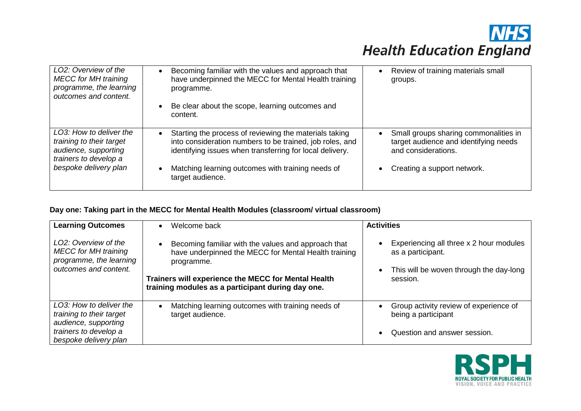| LO2: Overview of the<br><b>MECC</b> for MH training<br>programme, the learning<br>outcomes and content.                       | Becoming familiar with the values and approach that<br>have underpinned the MECC for Mental Health training<br>programme.<br>Be clear about the scope, learning outcomes and<br>content.                                                                | Review of training materials small<br>$\bullet$<br>groups.                                                                           |
|-------------------------------------------------------------------------------------------------------------------------------|---------------------------------------------------------------------------------------------------------------------------------------------------------------------------------------------------------------------------------------------------------|--------------------------------------------------------------------------------------------------------------------------------------|
| LO3: How to deliver the<br>training to their target<br>audience, supporting<br>trainers to develop a<br>bespoke delivery plan | Starting the process of reviewing the materials taking<br>into consideration numbers to be trained, job roles, and<br>identifying issues when transferring for local delivery.<br>Matching learning outcomes with training needs of<br>target audience. | Small groups sharing commonalities in<br>target audience and identifying needs<br>and considerations.<br>Creating a support network. |

### **Day one: Taking part in the MECC for Mental Health Modules (classroom/ virtual classroom)**

| <b>Learning Outcomes</b>                                                                                                      | Welcome back<br>$\bullet$                                                                                                                                                                                                             | <b>Activities</b>                                                                                                                |
|-------------------------------------------------------------------------------------------------------------------------------|---------------------------------------------------------------------------------------------------------------------------------------------------------------------------------------------------------------------------------------|----------------------------------------------------------------------------------------------------------------------------------|
| LO2: Overview of the<br><b>MECC</b> for MH training<br>programme, the learning<br>outcomes and content.                       | Becoming familiar with the values and approach that<br>have underpinned the MECC for Mental Health training<br>programme.<br>Trainers will experience the MECC for Mental Health<br>training modules as a participant during day one. | Experiencing all three x 2 hour modules<br>as a participant.<br>This will be woven through the day-long<br>$\bullet$<br>session. |
| LO3: How to deliver the<br>training to their target<br>audience, supporting<br>trainers to develop a<br>bespoke delivery plan | Matching learning outcomes with training needs of<br>target audience.                                                                                                                                                                 | Group activity review of experience of<br>being a participant<br>Question and answer session.<br>$\bullet$                       |

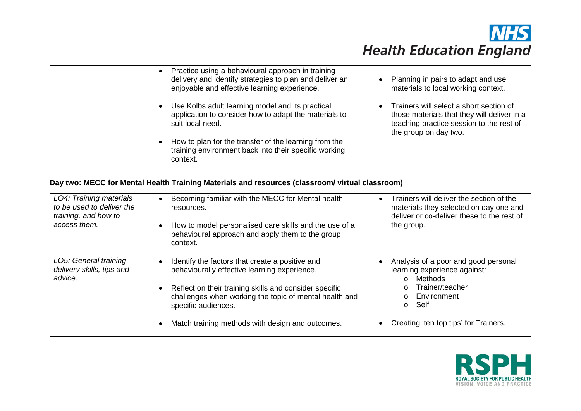| Practice using a behavioural approach in training<br>delivery and identify strategies to plan and deliver an<br>enjoyable and effective learning experience. | Planning in pairs to adapt and use<br>$\bullet$<br>materials to local working context.                                                                                   |
|--------------------------------------------------------------------------------------------------------------------------------------------------------------|--------------------------------------------------------------------------------------------------------------------------------------------------------------------------|
| Use Kolbs adult learning model and its practical<br>application to consider how to adapt the materials to<br>suit local need.                                | Trainers will select a short section of<br>$\bullet$<br>those materials that they will deliver in a<br>teaching practice session to the rest of<br>the group on day two. |
| How to plan for the transfer of the learning from the<br>training environment back into their specific working<br>context.                                   |                                                                                                                                                                          |

### **Day two: MECC for Mental Health Training Materials and resources (classroom/ virtual classroom)**

| LO4: Training materials<br>to be used to deliver the<br>training, and how to<br>access them. | Becoming familiar with the MECC for Mental health<br>resources.<br>How to model personalised care skills and the use of a<br>$\bullet$<br>behavioural approach and apply them to the group<br>context.                                                                                         | Trainers will deliver the section of the<br>$\bullet$<br>materials they selected on day one and<br>deliver or co-deliver these to the rest of<br>the group.                                                      |
|----------------------------------------------------------------------------------------------|------------------------------------------------------------------------------------------------------------------------------------------------------------------------------------------------------------------------------------------------------------------------------------------------|------------------------------------------------------------------------------------------------------------------------------------------------------------------------------------------------------------------|
| LO5: General training<br>delivery skills, tips and<br>advice.                                | Identify the factors that create a positive and<br>behaviourally effective learning experience.<br>Reflect on their training skills and consider specific<br>challenges when working the topic of mental health and<br>specific audiences.<br>Match training methods with design and outcomes. | Analysis of a poor and good personal<br>learning experience against:<br>Methods<br>$\Omega$<br>Trainer/teacher<br>$\circ$<br>Environment<br>$\Omega$<br>Self<br>$\circ$<br>Creating 'ten top tips' for Trainers. |